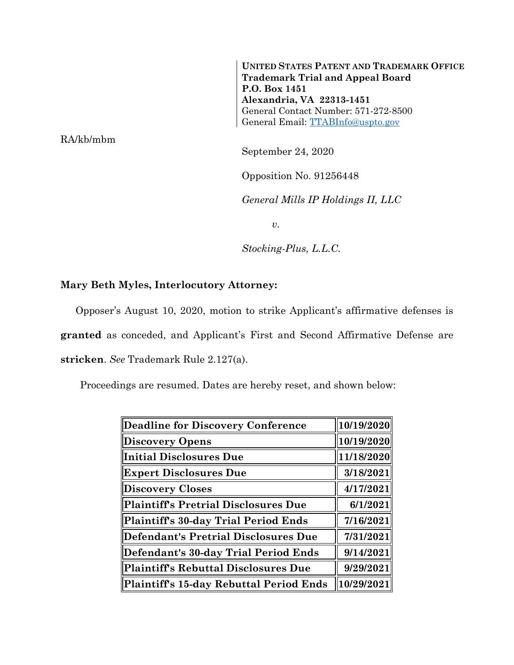**UNITED STATES PATENT AND TRADEMARK OFFICE Trademark Trial and Appeal Board P.O. Box 1451 Alexandria, VA 22313-1451** General Contact Number: 571-272-8500 General Email: [TTABInfo@uspto.gov](mailto:TTABInfo@uspto.gov)

RA/kb/mbm

September 24, 2020

Opposition No. 91256448

*General Mills IP Holdings II, LLC*

*v.*

*Stocking-Plus, L.L.C.*

## **Mary Beth Myles, Interlocutory Attorney:**

Opposer's August 10, 2020, motion to strike Applicant's affirmative defenses is

**granted** as conceded, and Applicant's First and Second Affirmative Defense are

**stricken**. *See* Trademark Rule 2.127(a).

Proceedings are resumed. Dates are hereby reset, and shown below:

| Deadline for Discovery Conference       | 10/19/2020 |
|-----------------------------------------|------------|
| <b>Discovery Opens</b>                  | 10/19/2020 |
| Initial Disclosures Due                 | 11/18/2020 |
| <b>Expert Disclosures Due</b>           | 3/18/2021  |
| Discovery Closes                        | 4/17/2021  |
| Plaintiff's Pretrial Disclosures Due    | 6/1/2021   |
| Plaintiff's 30-day Trial Period Ends    | 7/16/2021  |
| Defendant's Pretrial Disclosures Due    | 7/31/2021  |
| Defendant's 30-day Trial Period Ends    | 9/14/2021  |
| Plaintiff's Rebuttal Disclosures Due    | 9/29/2021  |
| Plaintiff's 15-day Rebuttal Period Ends | 10/29/2021 |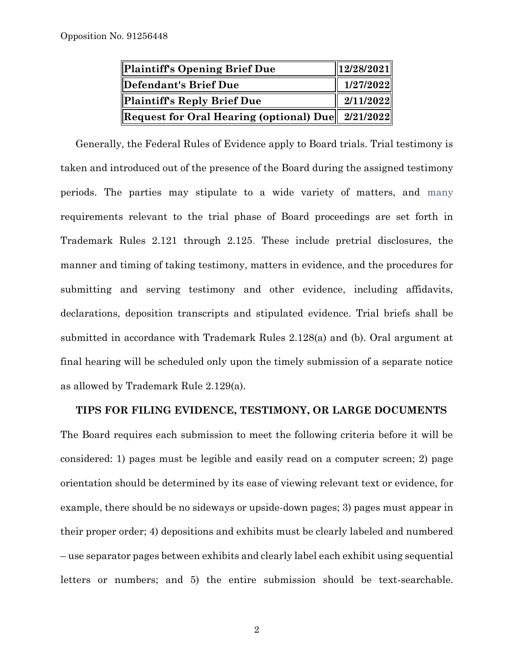| Plaintiff's Opening Brief Due                                                             | $\ 12/28/2021\ $ |
|-------------------------------------------------------------------------------------------|------------------|
| Defendant's Brief Due                                                                     | 1/27/2022        |
| Plaintiff's Reply Brief Due                                                               | 2/11/2022        |
| $\left\  {\rm Request\ for\ Oral\ Hearing\ (optional)\ Due} \right\ $ 2/21/2022 $\left\ $ |                  |

Generally, the Federal Rules of Evidence apply to Board trials. Trial testimony is taken and introduced out of the presence of the Board during the assigned testimony periods. The parties may stipulate to a wide variety of matters, and many requirements relevant to the trial phase of Board proceedings are set forth in Trademark Rules 2.121 through 2.125. These include pretrial disclosures, the manner and timing of taking testimony, matters in evidence, and the procedures for submitting and serving testimony and other evidence, including affidavits, declarations, deposition transcripts and stipulated evidence. Trial briefs shall be submitted in accordance with Trademark Rules 2.128(a) and (b). Oral argument at final hearing will be scheduled only upon the timely submission of a separate notice as allowed by Trademark Rule 2.129(a).

## **TIPS FOR FILING EVIDENCE, TESTIMONY, OR LARGE DOCUMENTS**

The Board requires each submission to meet the following criteria before it will be considered: 1) pages must be legible and easily read on a computer screen; 2) page orientation should be determined by its ease of viewing relevant text or evidence, for example, there should be no sideways or upside-down pages; 3) pages must appear in their proper order; 4) depositions and exhibits must be clearly labeled and numbered – use separator pages between exhibits and clearly label each exhibit using sequential letters or numbers; and 5) the entire submission should be text-searchable.